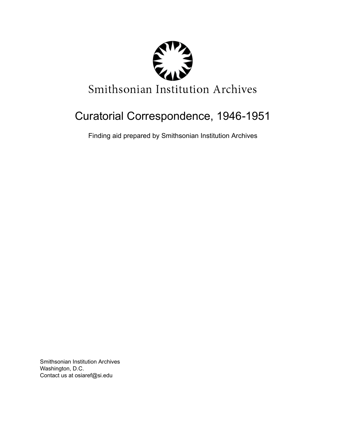

# Curatorial Correspondence, 1946-1951

Finding aid prepared by Smithsonian Institution Archives

Smithsonian Institution Archives Washington, D.C. Contact us at osiaref@si.edu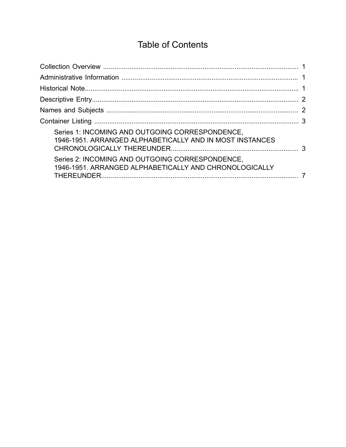# **Table of Contents**

<span id="page-1-0"></span>

| Series 1: INCOMING AND OUTGOING CORRESPONDENCE,<br>1946-1951. ARRANGED ALPHABETICALLY AND IN MOST INSTANCES |  |
|-------------------------------------------------------------------------------------------------------------|--|
| Series 2: INCOMING AND OUTGOING CORRESPONDENCE,<br>1946-1951. ARRANGED ALPHABETICALLY AND CHRONOLOGICALLY   |  |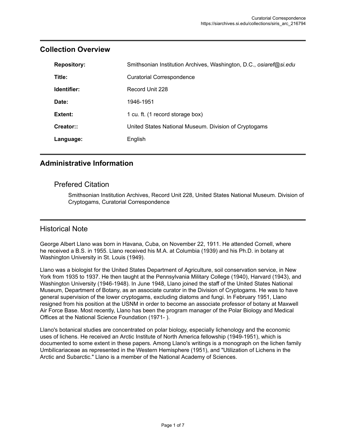| <b>Repository:</b> | Smithsonian Institution Archives, Washington, D.C., osiaref@si.edu |
|--------------------|--------------------------------------------------------------------|
| Title:             | <b>Curatorial Correspondence</b>                                   |
| Identifier:        | Record Unit 228                                                    |
| Date:              | 1946-1951                                                          |
| Extent:            | 1 cu. ft. (1 record storage box)                                   |
| Creator::          | United States National Museum. Division of Cryptogams              |
| Language:          | English                                                            |

#### <span id="page-2-0"></span>**Collection Overview**

#### <span id="page-2-1"></span>**Administrative Information**

#### Prefered Citation

Smithsonian Institution Archives, Record Unit 228, United States National Museum. Division of Cryptogams, Curatorial Correspondence

#### <span id="page-2-2"></span>Historical Note

George Albert Llano was born in Havana, Cuba, on November 22, 1911. He attended Cornell, where he received a B.S. in 1955. Llano received his M.A. at Columbia (1939) and his Ph.D. in botany at Washington University in St. Louis (1949).

Llano was a biologist for the United States Department of Agriculture, soil conservation service, in New York from 1935 to 1937. He then taught at the Pennsylvania Military College (1940), Harvard (1943), and Washington University (1946-1948). In June 1948, Llano joined the staff of the United States National Museum, Department of Botany, as an associate curator in the Division of Cryptogams. He was to have general supervision of the lower cryptogams, excluding diatoms and fungi. In February 1951, Llano resigned from his position at the USNM in order to become an associate professor of botany at Maxwell Air Force Base. Most recently, Llano has been the program manager of the Polar Biology and Medical Offices at the National Science Foundation (1971- ).

Llano's botanical studies are concentrated on polar biology, especially lichenology and the economic uses of lichens. He received an Arctic Institute of North America fellowship (1949-1951), which is documented to some extent in these papers. Among Llano's writings is a monograph on the lichen family Umbilicariaceae as represented in the Western Hemisphere (1951), and "Utilization of Lichens in the Arctic and Subarctic." Llano is a member of the National Academy of Sciences.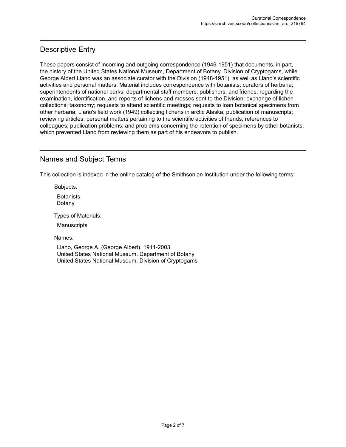# <span id="page-3-0"></span>Descriptive Entry

These papers consist of incoming and outgoing correspondence (1946-1951) that documents, in part, the history of the United States National Museum, Department of Botany, Division of Cryptogams, while George Albert Llano was an associate curator with the Division (1948-1951), as well as Llano's scientific activities and personal matters. Material includes correspondence with botanists; curators of herbaria; superintendents of national parks; departmental staff members; publishers; and friends; regarding the examination, identification, and reports of lichens and mosses sent to the Division; exchange of lichen collections; taxonomy; requests to attend scientific meetings; requests to loan botanical specimens from other herbaria; Llano's field work (1949) collecting lichens in arctic Alaska; publication of manuscripts; reviewing articles; personal matters pertaining to the scientific activities of friends; references to colleagues; publication problems; and problems concerning the retention of specimens by other botanists, which prevented Llano from reviewing them as part of his endeavors to publish.

### <span id="page-3-1"></span>Names and Subject Terms

This collection is indexed in the online catalog of the Smithsonian Institution under the following terms:

Subjects:

**Botanists** Botany

Types of Materials:

**Manuscripts** 

Names:

Llano, George A. (George Albert), 1911-2003 United States National Museum. Department of Botany United States National Museum. Division of Cryptogams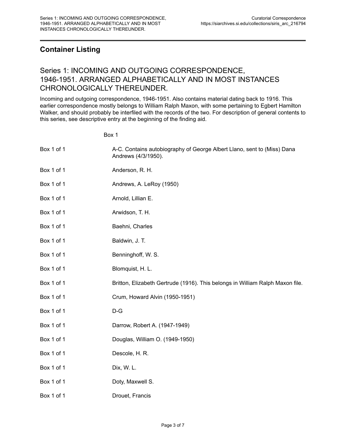# <span id="page-4-0"></span>**Container Listing**

### <span id="page-4-1"></span>Series 1: INCOMING AND OUTGOING CORRESPONDENCE, 1946-1951. ARRANGED ALPHABETICALLY AND IN MOST INSTANCES CHRONOLOGICALLY THEREUNDER.

Incoming and outgoing correspondence, 1946-1951. Also contains material dating back to 1916. This earlier correspondence mostly belongs to William Ralph Maxon, with some pertaining to Egbert Hamilton Walker, and should probably be interfiled with the records of the two. For description of general contents to this series, see descriptive entry at the beginning of the finding aid.

Box 1

| Box 1 of 1 | A-C. Contains autobiography of George Albert Llano, sent to (Miss) Dana<br>Andrews (4/3/1950). |
|------------|------------------------------------------------------------------------------------------------|
| Box 1 of 1 | Anderson, R. H.                                                                                |
| Box 1 of 1 | Andrews, A. LeRoy (1950)                                                                       |
| Box 1 of 1 | Arnold, Lillian E.                                                                             |
| Box 1 of 1 | Arwidson, T. H.                                                                                |
| Box 1 of 1 | Baehni, Charles                                                                                |
| Box 1 of 1 | Baldwin, J. T.                                                                                 |
| Box 1 of 1 | Benninghoff, W. S.                                                                             |
| Box 1 of 1 | Blomquist, H. L.                                                                               |
| Box 1 of 1 | Britton, Elizabeth Gertrude (1916). This belongs in William Ralph Maxon file.                  |
| Box 1 of 1 | Crum, Howard Alvin (1950-1951)                                                                 |
| Box 1 of 1 | $D-G$                                                                                          |
| Box 1 of 1 | Darrow, Robert A. (1947-1949)                                                                  |
| Box 1 of 1 | Douglas, William O. (1949-1950)                                                                |
| Box 1 of 1 | Descole, H. R.                                                                                 |
| Box 1 of 1 | Dix, W. L.                                                                                     |
| Box 1 of 1 | Doty, Maxwell S.                                                                               |
| Box 1 of 1 | Drouet, Francis                                                                                |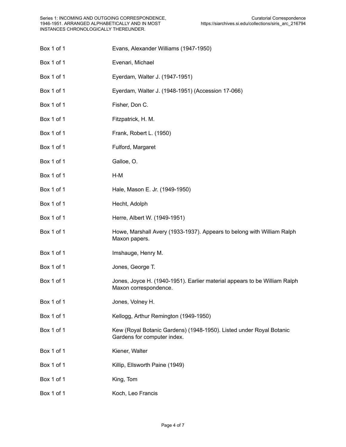Box 1 of 1 Evans, Alexander Williams (1947-1950) Box 1 of 1 Evenari, Michael Box 1 of 1 Eyerdam, Walter J. (1947-1951) Box 1 of 1 Eyerdam, Walter J. (1948-1951) (Accession 17-066) Box 1 of 1 Fisher, Don C. Box 1 of 1 Fitzpatrick, H. M. Box 1 of 1 Frank, Robert L. (1950) Box 1 of 1 Fulford, Margaret Box 1 of 1 Galloe, O. Box 1 of 1 H-M Box 1 of 1 **Hale, Mason E. Jr. (1949-1950)** Box 1 of 1 Hecht, Adolph Box 1 of 1 **Herre, Albert W. (1949-1951)** Box 1 of 1 **Howe, Marshall Avery (1933-1937).** Appears to belong with William Ralph Maxon papers. Box 1 of 1 Imshauge, Henry M. Box 1 of 1 Jones, George T. Box 1 of 1 Jones, Joyce H. (1940-1951). Earlier material appears to be William Ralph Maxon correspondence. Box 1 of 1 Jones, Volney H. Box 1 of 1 Kellogg, Arthur Remington (1949-1950) Box 1 of 1 Kew (Royal Botanic Gardens) (1948-1950). Listed under Royal Botanic Gardens for computer index. Box 1 of 1 Kiener, Walter Box 1 of 1 Killip, Ellsworth Paine (1949) Box 1 of 1 King, Tom Box 1 of 1 Koch, Leo Francis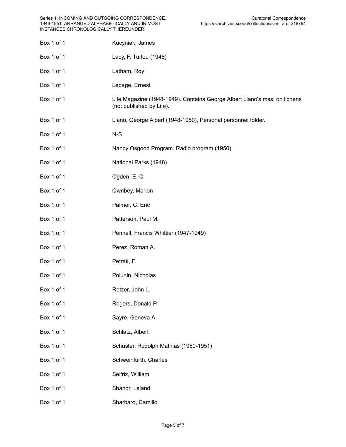| Box 1 of 1 | Kucyniak, James                                                                                       |
|------------|-------------------------------------------------------------------------------------------------------|
|            |                                                                                                       |
| Box 1 of 1 | Lacy, F. Turlou (1948)                                                                                |
| Box 1 of 1 | Latham, Roy                                                                                           |
| Box 1 of 1 | Lepage, Ernest                                                                                        |
| Box 1 of 1 | Life Magazine (1948-1949). Contains George Albert Llano's mss. on lichens<br>(not published by Life). |
| Box 1 of 1 | Llano, George Albert (1948-1950). Personal personnel folder.                                          |
| Box 1 of 1 | $N-S$                                                                                                 |
| Box 1 of 1 | Nancy Osgood Program. Radio program (1950).                                                           |
| Box 1 of 1 | National Parks (1948)                                                                                 |
| Box 1 of 1 | Ogden, E. C.                                                                                          |
| Box 1 of 1 | Ownbey, Marion                                                                                        |
| Box 1 of 1 | Palmer, C. Eric                                                                                       |
| Box 1 of 1 | Patterson, Paul M.                                                                                    |
| Box 1 of 1 | Pennell, Francis Whittier (1947-1949)                                                                 |
| Box 1 of 1 | Perez, Roman A.                                                                                       |
| Box 1 of 1 | Petrak, F.                                                                                            |
| Box 1 of 1 | Polunin, Nicholas                                                                                     |
| Box 1 of 1 | Retzer, John L.                                                                                       |
| Box 1 of 1 | Rogers, Donald P.                                                                                     |
| Box 1 of 1 | Sayre, Geneva A.                                                                                      |
| Box 1 of 1 | Schlatz, Albert                                                                                       |
| Box 1 of 1 | Schuster, Rudolph Mathias (1950-1951)                                                                 |
| Box 1 of 1 | Schweinfurth, Charles                                                                                 |
| Box 1 of 1 | Seifriz, William                                                                                      |
| Box 1 of 1 | Shanor, Leland                                                                                        |
| Box 1 of 1 | Sharbaro, Camillo                                                                                     |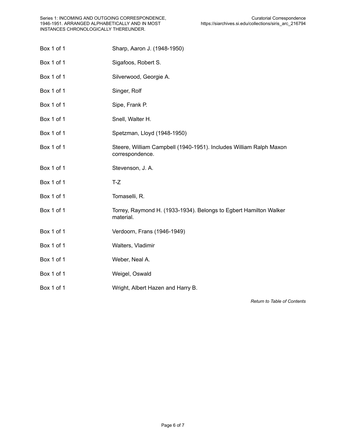| Box 1 of 1 | Sharp, Aaron J. (1948-1950)                                                           |
|------------|---------------------------------------------------------------------------------------|
| Box 1 of 1 | Sigafoos, Robert S.                                                                   |
| Box 1 of 1 | Silverwood, Georgie A.                                                                |
| Box 1 of 1 | Singer, Rolf                                                                          |
| Box 1 of 1 | Sipe, Frank P.                                                                        |
| Box 1 of 1 | Snell, Walter H.                                                                      |
| Box 1 of 1 | Spetzman, Lloyd (1948-1950)                                                           |
| Box 1 of 1 | Steere, William Campbell (1940-1951). Includes William Ralph Maxon<br>correspondence. |
| Box 1 of 1 | Stevenson, J. A.                                                                      |
| Box 1 of 1 | $T-Z$                                                                                 |
| Box 1 of 1 | Tomaselli, R.                                                                         |
| Box 1 of 1 | Torrey, Raymond H. (1933-1934). Belongs to Egbert Hamilton Walker<br>material.        |
| Box 1 of 1 | Verdoorn, Frans (1946-1949)                                                           |
| Box 1 of 1 | Walters, Vladimir                                                                     |
| Box 1 of 1 | Weber, Neal A.                                                                        |
| Box 1 of 1 | Weigel, Oswald                                                                        |
| Box 1 of 1 | Wright, Albert Hazen and Harry B.                                                     |

*Return to Table of [Contents](#page-1-0)*